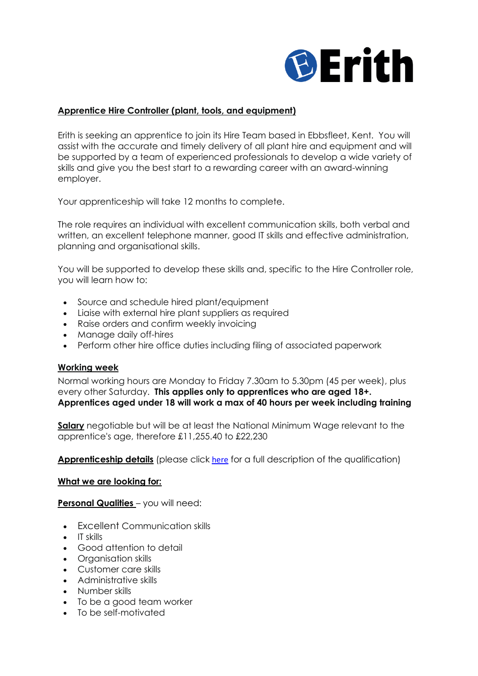

### **Apprentice Hire Controller (plant, tools, and equipment)**

Erith is seeking an apprentice to join its Hire Team based in Ebbsfleet, Kent. You will assist with the accurate and timely delivery of all plant hire and equipment and will be supported by a team of experienced professionals to develop a wide variety of skills and give you the best start to a rewarding career with an award-winning employer.

Your apprenticeship will take 12 months to complete.

The role requires an individual with excellent communication skills, both verbal and written, an excellent telephone manner, good IT skills and effective administration, planning and organisational skills.

You will be supported to develop these skills and, specific to the Hire Controller role, you will learn how to:

- Source and schedule hired plant/equipment
- Liaise with external hire plant suppliers as required
- Raise orders and confirm weekly invoicing
- Manage daily off-hires
- Perform other hire office duties including filing of associated paperwork

#### **Working week**

Normal working hours are Monday to Friday 7.30am to 5.30pm (45 per week), plus every other Saturday. **This applies only to apprentices who are aged 18+. Apprentices aged under 18 will work a max of 40 hours per week including training**

**Salary** negotiable but will be at least the National Minimum Wage relevant to the apprentice's age, therefore £11,255.40 to £22,230

**Apprenticeship details** (please click [here](https://www.instituteforapprenticeships.org/apprenticeship-standards/hire-controller-plant-tools-and-equipment-v1-0) for a full description of the qualification)

#### **What we are looking for:**

**Personal Qualities** – you will need:

- Excellent Communication skills
- IT skills
- Good attention to detail
- Organisation skills
- Customer care skills
- Administrative skills
- Number skills
- To be a good team worker
- To be self-motivated